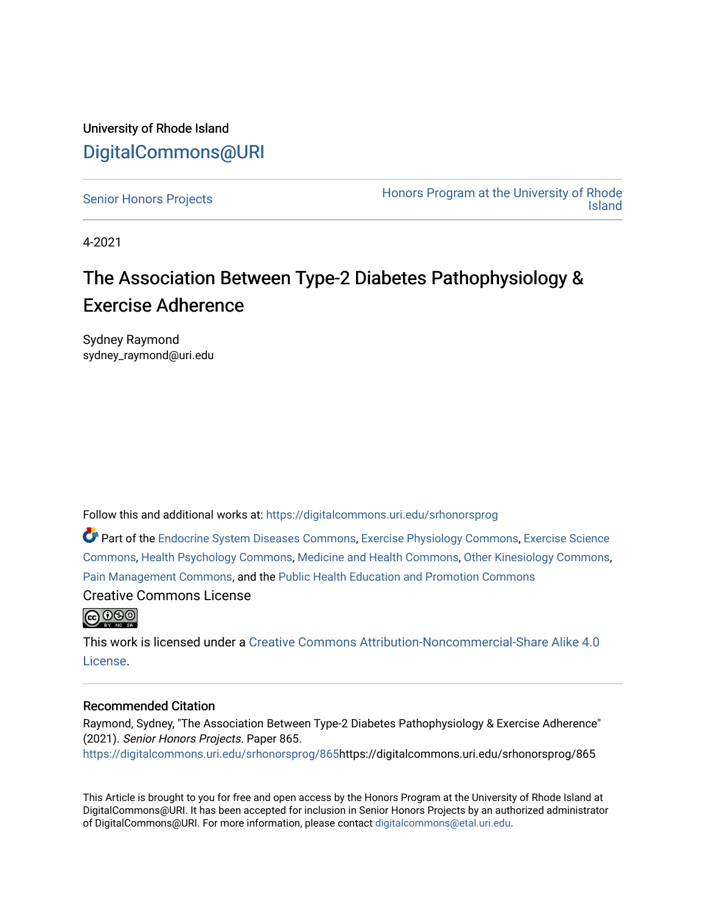### University of Rhode Island [DigitalCommons@URI](https://digitalcommons.uri.edu/)

[Senior Honors Projects](https://digitalcommons.uri.edu/srhonorsprog) **Honors Program at the University of Rhode** [Island](https://digitalcommons.uri.edu/honors_prog) 

4-2021

### The Association Between Type-2 Diabetes Pathophysiology & Exercise Adherence

Sydney Raymond sydney\_raymond@uri.edu

Follow this and additional works at: [https://digitalcommons.uri.edu/srhonorsprog](https://digitalcommons.uri.edu/srhonorsprog?utm_source=digitalcommons.uri.edu%2Fsrhonorsprog%2F865&utm_medium=PDF&utm_campaign=PDFCoverPages)

Part of the [Endocrine System Diseases Commons,](http://network.bepress.com/hgg/discipline/969?utm_source=digitalcommons.uri.edu%2Fsrhonorsprog%2F865&utm_medium=PDF&utm_campaign=PDFCoverPages) [Exercise Physiology Commons,](http://network.bepress.com/hgg/discipline/73?utm_source=digitalcommons.uri.edu%2Fsrhonorsprog%2F865&utm_medium=PDF&utm_campaign=PDFCoverPages) [Exercise Science](http://network.bepress.com/hgg/discipline/1091?utm_source=digitalcommons.uri.edu%2Fsrhonorsprog%2F865&utm_medium=PDF&utm_campaign=PDFCoverPages)  [Commons](http://network.bepress.com/hgg/discipline/1091?utm_source=digitalcommons.uri.edu%2Fsrhonorsprog%2F865&utm_medium=PDF&utm_campaign=PDFCoverPages), [Health Psychology Commons,](http://network.bepress.com/hgg/discipline/411?utm_source=digitalcommons.uri.edu%2Fsrhonorsprog%2F865&utm_medium=PDF&utm_campaign=PDFCoverPages) [Medicine and Health Commons,](http://network.bepress.com/hgg/discipline/422?utm_source=digitalcommons.uri.edu%2Fsrhonorsprog%2F865&utm_medium=PDF&utm_campaign=PDFCoverPages) [Other Kinesiology Commons](http://network.bepress.com/hgg/discipline/47?utm_source=digitalcommons.uri.edu%2Fsrhonorsprog%2F865&utm_medium=PDF&utm_campaign=PDFCoverPages), [Pain Management Commons,](http://network.bepress.com/hgg/discipline/1274?utm_source=digitalcommons.uri.edu%2Fsrhonorsprog%2F865&utm_medium=PDF&utm_campaign=PDFCoverPages) and the [Public Health Education and Promotion Commons](http://network.bepress.com/hgg/discipline/743?utm_source=digitalcommons.uri.edu%2Fsrhonorsprog%2F865&utm_medium=PDF&utm_campaign=PDFCoverPages)

Creative Commons License



This work is licensed under a [Creative Commons Attribution-Noncommercial-Share Alike 4.0](https://creativecommons.org/licenses/by-nc-sa/4.0/) [License.](https://creativecommons.org/licenses/by-nc-sa/4.0/)

### Recommended Citation

Raymond, Sydney, "The Association Between Type-2 Diabetes Pathophysiology & Exercise Adherence" (2021). Senior Honors Projects. Paper 865. [https://digitalcommons.uri.edu/srhonorsprog/865](https://digitalcommons.uri.edu/srhonorsprog/865?utm_source=digitalcommons.uri.edu%2Fsrhonorsprog%2F865&utm_medium=PDF&utm_campaign=PDFCoverPages)https://digitalcommons.uri.edu/srhonorsprog/865

This Article is brought to you for free and open access by the Honors Program at the University of Rhode Island at DigitalCommons@URI. It has been accepted for inclusion in Senior Honors Projects by an authorized administrator of DigitalCommons@URI. For more information, please contact [digitalcommons@etal.uri.edu](mailto:digitalcommons@etal.uri.edu).